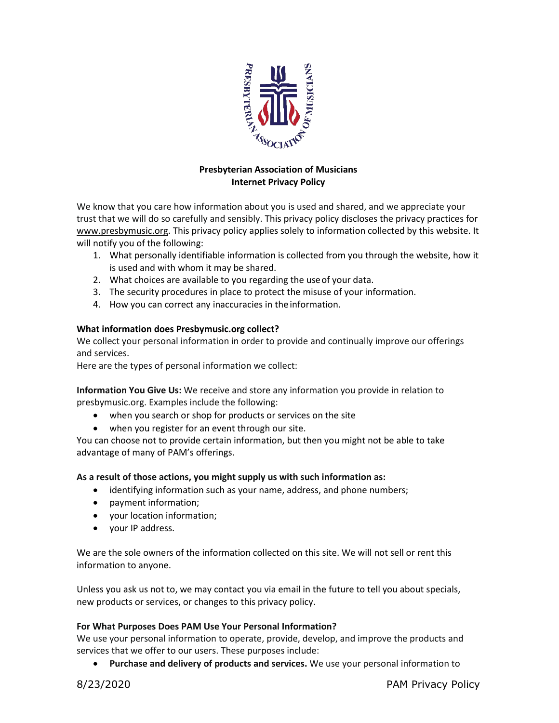

# **Presbyterian Association of Musicians Internet Privacy Policy**

We know that you care how information about you is used and shared, and we appreciate your trust that we will do so carefully and sensibly. This privacy policy discloses the privacy practices for [www.presbymusic.org. T](http://www.presbymusic.org/)his privacy policy applies solely to information collected by this website. It will notify you of the following:

- 1. What personally identifiable information is collected from you through the website, how it is used and with whom it may be shared.
- 2. What choices are available to you regarding the useof your data.
- 3. The security procedures in place to protect the misuse of your information.
- 4. How you can correct any inaccuracies in the information.

## **What information does Presbymusic.org collect?**

We collect your personal information in order to provide and continually improve our offerings and services.

Here are the types of personal information we collect:

**Information You Give Us:** We receive and store any information you provide in relation to presbymusic.org. Examples include the following:

- when you search or shop for products or services on the site
- when you register for an event through our site.

You can choose not to provide certain information, but then you might not be able to take advantage of many of PAM's offerings.

## **As a result of those actions, you might supply us with such information as:**

- identifying information such as your name, address, and phone numbers;
- payment information;
- your location information;
- your IP address.

We are the sole owners of the information collected on this site. We will not sell or rent this information to anyone.

Unless you ask us not to, we may contact you via email in the future to tell you about specials, new products or services, or changes to this privacy policy.

## **For What Purposes Does PAM Use Your Personal Information?**

We use your personal information to operate, provide, develop, and improve the products and services that we offer to our users. These purposes include:

• **Purchase and delivery of products and services.** We use your personal information to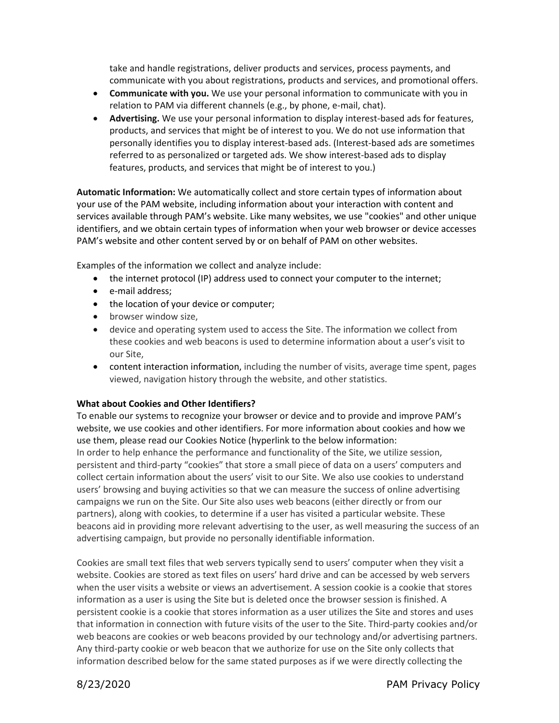take and handle registrations, deliver products and services, process payments, and communicate with you about registrations, products and services, and promotional offers.

- **Communicate with you.** We use your personal information to communicate with you in relation to PAM via different channels (e.g., by phone, e-mail, chat).
- **Advertising.** We use your personal information to display interest-based ads for features, products, and services that might be of interest to you. We do not use information that personally identifies you to display interest-based ads. (Interest-based ads are sometimes referred to as personalized or targeted ads. We show interest-based ads to display features, products, and services that might be of interest to you.)

**Automatic Information:** We automatically collect and store certain types of information about your use of the PAM website, including information about your interaction with content and services available through PAM's website. Like many websites, we use "cookies" and other unique identifiers, and we obtain certain types of information when your web browser or device accesses PAM's website and other content served by or on behalf of PAM on other websites.

Examples of the information we collect and analyze include:

- the internet protocol (IP) address used to connect your computer to the internet;
- e-mail address;
- the location of your device or computer;
- browser window size,
- device and operating system used to access the Site. The information we collect from these cookies and web beacons is used to determine information about a user's visit to our Site,
- content interaction information, including the number of visits, average time spent, pages viewed, navigation history through the website, and other statistics.

## **What about Cookies and Other Identifiers?**

To enable our systems to recognize your browser or device and to provide and improve PAM's website, we use cookies and other identifiers. For more information about cookies and how we use them, please read our Cookies Notice (hyperlink to the below information: In order to help enhance the performance and functionality of the Site, we utilize session, persistent and third-party "cookies" that store a small piece of data on a users' computers and collect certain information about the users' visit to our Site. We also use cookies to understand users' browsing and buying activities so that we can measure the success of online advertising campaigns we run on the Site. Our Site also uses web beacons (either directly or from our partners), along with cookies, to determine if a user has visited a particular website. These beacons aid in providing more relevant advertising to the user, as well measuring the success of an advertising campaign, but provide no personally identifiable information.

Cookies are small text files that web servers typically send to users' computer when they visit a website. Cookies are stored as text files on users' hard drive and can be accessed by web servers when the user visits a website or views an advertisement. A session cookie is a cookie that stores information as a user is using the Site but is deleted once the browser session is finished. A persistent cookie is a cookie that stores information as a user utilizes the Site and stores and uses that information in connection with future visits of the user to the Site. Third-party cookies and/or web beacons are cookies or web beacons provided by our technology and/or advertising partners. Any third-party cookie or web beacon that we authorize for use on the Site only collects that information described below for the same stated purposes as if we were directly collecting the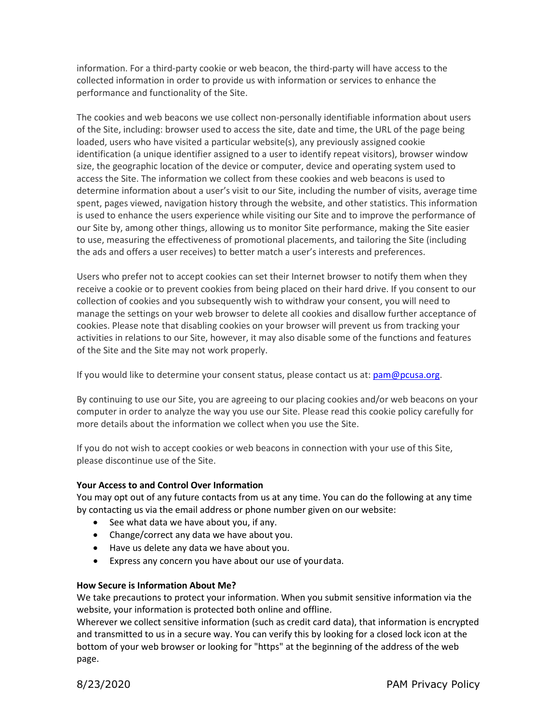information. For a third-party cookie or web beacon, the third-party will have access to the collected information in order to provide us with information or services to enhance the performance and functionality of the Site.

The cookies and web beacons we use collect non-personally identifiable information about users of the Site, including: browser used to access the site, date and time, the URL of the page being loaded, users who have visited a particular website(s), any previously assigned cookie identification (a unique identifier assigned to a user to identify repeat visitors), browser window size, the geographic location of the device or computer, device and operating system used to access the Site. The information we collect from these cookies and web beacons is used to determine information about a user's visit to our Site, including the number of visits, average time spent, pages viewed, navigation history through the website, and other statistics. This information is used to enhance the users experience while visiting our Site and to improve the performance of our Site by, among other things, allowing us to monitor Site performance, making the Site easier to use, measuring the effectiveness of promotional placements, and tailoring the Site (including the ads and offers a user receives) to better match a user's interests and preferences.

Users who prefer not to accept cookies can set their Internet browser to notify them when they receive a cookie or to prevent cookies from being placed on their hard drive. If you consent to our collection of cookies and you subsequently wish to withdraw your consent, you will need to manage the settings on your web browser to delete all cookies and disallow further acceptance of cookies. Please note that disabling cookies on your browser will prevent us from tracking your activities in relations to our Site, however, it may also disable some of the functions and features of the Site and the Site may not work properly.

If you would like to determine your consent status, please contact us at:  $pam@pcusa.org$ .

By continuing to use our Site, you are agreeing to our placing cookies and/or web beacons on your computer in order to analyze the way you use our Site. Please read this cookie policy carefully for more details about the information we collect when you use the Site.

If you do not wish to accept cookies or web beacons in connection with your use of this Site, please discontinue use of the Site.

## **Your Access to and Control Over Information**

You may opt out of any future contacts from us at any time. You can do the following at any time by contacting us via the email address or phone number given on our website:

- See what data we have about you, if any.
- Change/correct any data we have about you.
- Have us delete any data we have about you.
- Express any concern you have about our use of yourdata.

## **How Secure is Information About Me?**

We take precautions to protect your information. When you submit sensitive information via the website, your information is protected both online and offline.

Wherever we collect sensitive information (such as credit card data), that information is encrypted and transmitted to us in a secure way. You can verify this by looking for a closed lock icon at the bottom of your web browser or looking for "https" at the beginning of the address of the web page.